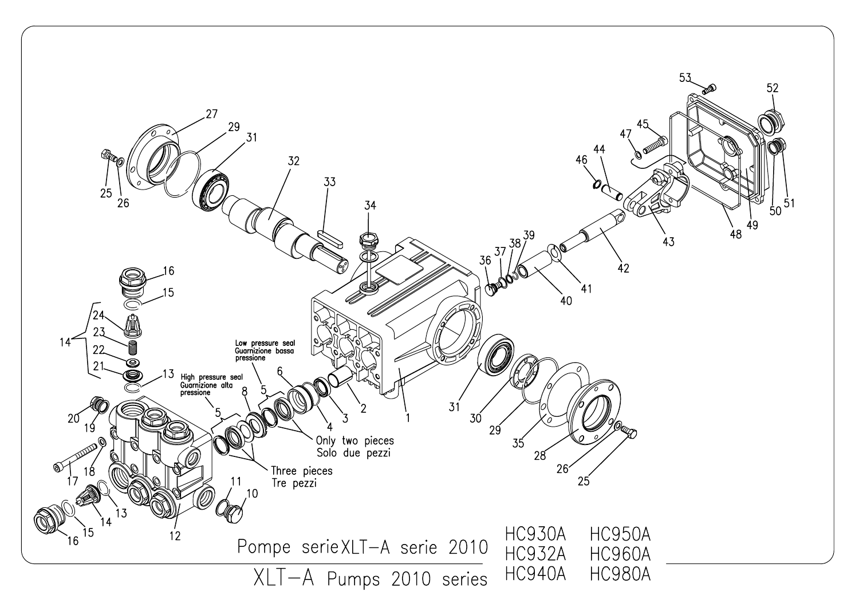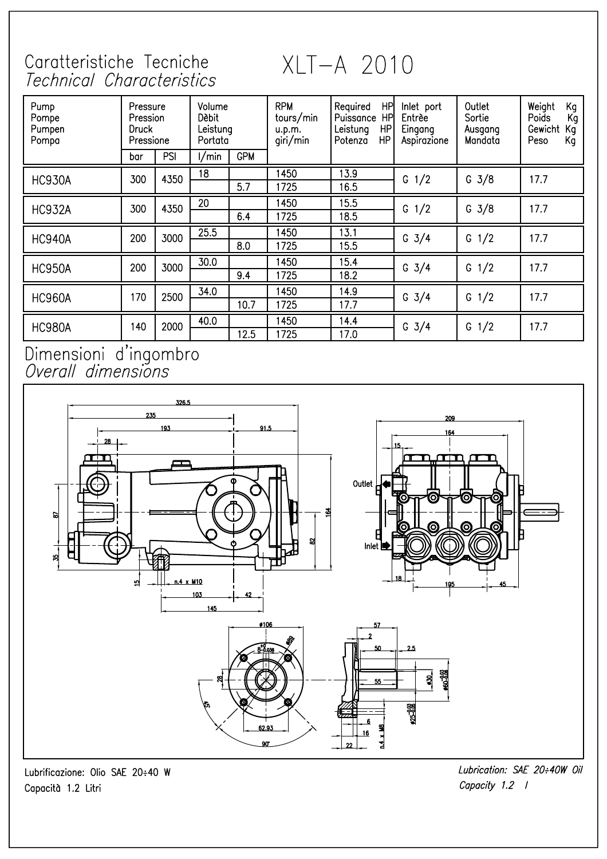## Caratteristiche Tecniche Technical Characteristics

XLT-A 2010

| Pump<br>Pompe<br>Pumpen<br>Pompa | Pressure<br><b>Pression</b><br>Druck<br>Pressione |      | Volume<br>Dèbit<br>Leistung<br>Portata |            | <b>RPM</b><br>tours/min<br>u.p.m.<br>giri/min | <b>HP</b><br>Required<br>HP<br>Puissance<br>HP<br>Leistung<br><b>HP</b><br>Potenza | Inlet port<br>Entrèe<br>Eingang<br>Aspirazione | Outlet<br>Sortie<br>Ausgang<br>Mandata | Weight<br>Kg<br>Poids<br>Kg<br>Gewicht<br>Kq<br>Κg<br>Peso |
|----------------------------------|---------------------------------------------------|------|----------------------------------------|------------|-----------------------------------------------|------------------------------------------------------------------------------------|------------------------------------------------|----------------------------------------|------------------------------------------------------------|
|                                  | bar                                               | PSI  | l/min.                                 | <b>GPM</b> |                                               |                                                                                    |                                                |                                        |                                                            |
| <b>HC930A</b>                    | 300                                               | 4350 | 18                                     | 5.7        | 1450<br>1725                                  | 13.9<br>16.5                                                                       | G $1/2$                                        | G $3/8$                                | 17.7                                                       |
| <b>HC932A</b>                    | 300                                               | 4350 | 20                                     | 6.4        | 1450<br>1725                                  | 15.5<br>18.5                                                                       | G $1/2$                                        | $G \frac{3}{8}$                        | 17.7                                                       |
| <b>HC940A</b>                    | 200                                               | 3000 | 25.5                                   | 8.0        | 1450<br>1725                                  | 13.1<br>15.5                                                                       | G $3/4$                                        | $G \frac{1}{2}$                        | 17.7                                                       |
| <b>HC950A</b>                    | 200                                               | 3000 | 30.0                                   | 9.4        | 1450<br>1725                                  | 15.4<br>18.2                                                                       | G $3/4$                                        | G $1/2$                                | 17.7                                                       |
| <b>HC960A</b>                    | 170                                               | 2500 | 34.0                                   | 10.7       | 1450<br>1725                                  | 14.9<br>17.7                                                                       | G $3/4$                                        | G $1/2$                                | 17.7                                                       |
| <b>HC980A</b>                    | 140                                               | 2000 | 40.0                                   | 12.5       | 1450<br>1725                                  | 14.4<br>17.0                                                                       | G $3/4$                                        | G $1/2$                                | 17.7                                                       |

Dimensioni d'ingombro<br>Overall dimensions



Lubrificazione: Olio SAE 20÷40 W Capacità 1.2 Litri

Lubrication: SAE 20:40W Oil Capacity 1.2 /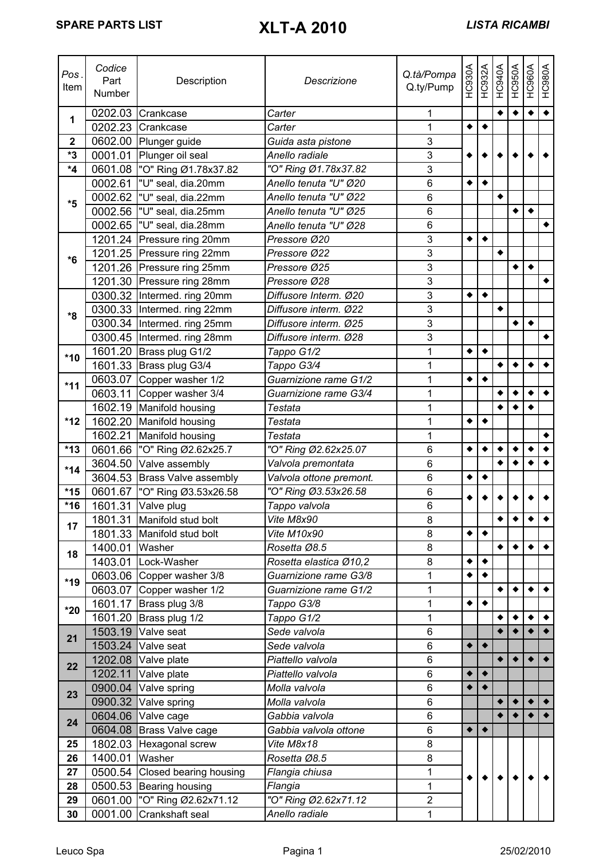| Pos.<br>Item     | Codice<br>Part<br>Number | Description                  | Descrizione             | Q.tà/Pompa<br>Q.ty/Pump | <b>HC930A</b>   | HC932A          | <b>HC940A</b> | HC950A    | HC960A          | HC980A               |
|------------------|--------------------------|------------------------------|-------------------------|-------------------------|-----------------|-----------------|---------------|-----------|-----------------|----------------------|
| 1                |                          | 0202.03 Crankcase            | Carter                  | 1                       |                 |                 | ٠             | ٠         | $\bullet$       | $\overline{\bullet}$ |
|                  | 0202.23                  | Crankcase                    | Carter                  | 1                       | $\bullet$       | $\blacklozenge$ |               |           |                 |                      |
| $\boldsymbol{2}$ |                          | 0602.00 Plunger guide        | Guida asta pistone      | 3                       |                 |                 |               |           |                 |                      |
| *3               |                          | 0001.01 Plunger oil seal     | Anello radiale          | 3                       |                 |                 |               |           |                 |                      |
| *4               | 0601.08                  | "O" Ring Ø1.78x37.82         | "O" Ring Ø1.78x37.82    | 3                       |                 |                 |               |           |                 |                      |
|                  |                          | 0002.61  "U" seal, dia.20mm  | Anello tenuta "U" Ø20   | 6                       | $\bullet$       | $\bullet$       |               |           |                 |                      |
| *5               |                          | 0002.62   "U" seal, dia.22mm | Anello tenuta "U" Ø22   | 6                       |                 |                 | $\bullet$     |           |                 |                      |
|                  | 0002.56                  | "U" seal, dia.25mm           | Anello tenuta "U" Ø25   | 6                       |                 |                 |               | ٠         | $\bullet$       |                      |
|                  | 0002.65                  | "U" seal, dia.28mm           | Anello tenuta "U" Ø28   | 6                       |                 |                 |               |           |                 | $\blacklozenge$      |
|                  | 1201.24                  | Pressure ring 20mm           | Pressore Ø20            | 3                       | $\bullet$       | $\blacklozenge$ |               |           |                 |                      |
| $*6$             |                          | 1201.25 Pressure ring 22mm   | Pressore Ø22            | $\overline{3}$          |                 |                 | ٠             |           |                 |                      |
|                  |                          | 1201.26 Pressure ring 25mm   | Pressore Ø25            | 3                       |                 |                 |               | ٠         | $\bullet$       |                      |
|                  |                          | 1201.30 Pressure ring 28mm   | Pressore Ø28            | 3                       |                 |                 |               |           |                 | $\blacklozenge$      |
|                  |                          | 0300.32 Intermed. ring 20mm  | Diffusore Interm. Ø20   | $\overline{3}$          | $\bullet$       | $\bullet$       |               |           |                 |                      |
| *8               |                          | 0300.33 Intermed. ring 22mm  | Diffusore interm. Ø22   | $\overline{3}$          |                 |                 | ٠             |           |                 |                      |
|                  |                          | 0300.34 Intermed. ring 25mm  | Diffusore interm. Ø25   | 3                       |                 |                 |               | $\bullet$ | $\bullet$       |                      |
|                  |                          | 0300.45 Intermed. ring 28mm  | Diffusore interm. Ø28   | $\overline{3}$          |                 |                 |               |           |                 |                      |
| $*10$            |                          | 1601.20 Brass plug G1/2      | Tappo G1/2              | 1                       | ٠               | $\blacklozenge$ |               |           |                 |                      |
|                  |                          | 1601.33 Brass plug G3/4      | Tappo G3/4              | 1                       |                 |                 | $\bullet$     | ٠         | ٠               | $\bullet$            |
|                  |                          | 0603.07 Copper washer 1/2    | Guarnizione rame G1/2   | 1                       | ٠               | $\bullet$       |               |           |                 |                      |
| $*11$            | 0603.11                  | Copper washer 3/4            | Guarnizione rame G3/4   | 1                       |                 |                 | ٠             | ٠         | ٠               | $\blacklozenge$      |
|                  |                          | 1602.19 Manifold housing     | Testata                 | 1                       |                 |                 |               |           | ٠               |                      |
| $*12$            |                          | 1602.20 Manifold housing     | Testata                 | 1                       | $\blacklozenge$ | $\bullet$       |               |           |                 |                      |
|                  | 1602.21                  | Manifold housing             | Testata                 | 1                       |                 |                 |               |           |                 | $\blacklozenge$      |
| $*13$            | 0601.66                  | "O" Ring Ø2.62x25.7          | "O" Ring Ø2.62x25.07    | 6                       | ٠               | ٠               | ٠             | ٠         | ٠               | $\bullet$            |
|                  | 3604.50                  | Valve assembly               | Valvola premontata      | 6                       |                 |                 | $\bullet$     |           |                 | $\bullet$            |
| $*14$            | 3604.53                  | <b>Brass Valve assembly</b>  | Valvola ottone premont. | 6                       | ٠               | ٠               |               |           |                 |                      |
| $*15$            | 0601.67                  | "O" Ring Ø3.53x26.58         | "O" Ring Ø3.53x26.58    | $\,6$                   |                 |                 |               |           |                 |                      |
| $*16$            | 1601.31                  | Valve plug                   | Tappo valvola           | 6                       |                 |                 |               |           |                 |                      |
|                  |                          | 1801.31 Manifold stud bolt   | Vite M8x90              | 8                       |                 |                 |               |           |                 | $\bullet$            |
| 17               |                          | 1801.33 Manifold stud bolt   | Vite M10x90             | 8                       | ٠               | ٠               |               |           |                 |                      |
|                  | 1400.01 Washer           |                              | Rosetta Ø8.5            | 8                       |                 |                 | ٠             | ٠         | $\bullet$       | $\bullet$            |
| 18               |                          | 1403.01 Lock-Washer          | Rosetta elastica Ø10,2  | 8                       | $\bullet$       | $\bullet$       |               |           |                 |                      |
|                  |                          | 0603.06 Copper washer 3/8    | Guarnizione rame G3/8   | $\mathbf 1$             | ٠               | ٠               |               |           |                 |                      |
| $*19$            |                          | 0603.07 Copper washer 1/2    | Guarnizione rame G1/2   | 1                       |                 |                 | ٠             | ٠         | ٠               | $\bullet$            |
|                  | 1601.17                  | Brass plug 3/8               | Tappo G3/8              | 1                       | $\bullet$       | $\blacklozenge$ |               |           |                 |                      |
| $*20$            | 1601.20                  | Brass plug 1/2               | Tappo G1/2              | 1                       |                 |                 | ٠             |           | ٠               | $\blacklozenge$      |
|                  | 1503.19                  | Valve seat                   | Sede valvola            | 6                       |                 |                 |               |           |                 | $\bullet$            |
| 21               | 1503.24                  | Valve seat                   | Sede valvola            | 6                       | ٠               | $\bullet$       |               |           |                 |                      |
|                  |                          | 1202.08 Valve plate          | Piattello valvola       | 6                       |                 |                 |               | $\bullet$ | $\bullet$       | $\blacklozenge$      |
| 22               | 1202.11                  | Valve plate                  | Piattello valvola       | $\,6$                   |                 | $\blacklozenge$ |               |           |                 |                      |
|                  | 0900.04                  | Valve spring                 | Molla valvola           | 6                       | $\bullet$       | $\bullet$       |               |           |                 |                      |
| 23               | 0900.32                  | Valve spring                 | Molla valvola           | 6                       |                 |                 | $\bullet$     | $\bullet$ | $\blacklozenge$ | $\blacklozenge$      |
| 24               | 0604.06                  | Valve cage                   | Gabbia valvola          | 6                       |                 |                 |               |           |                 | $\bullet$            |
|                  | 0604.08                  | Brass Valve cage             | Gabbia valvola ottone   | 6                       | $\bullet$       | $\bullet$       |               |           |                 |                      |
| 25               |                          | 1802.03 Hexagonal screw      | Vite M8x18              | 8                       |                 |                 |               |           |                 |                      |
| 26               | 1400.01                  | Washer                       | Rosetta Ø8.5            | 8                       |                 |                 |               |           |                 |                      |
| 27               | 0500.54                  | Closed bearing housing       | Flangia chiusa          | 1                       |                 |                 |               |           |                 |                      |
| 28               | 0500.53                  | <b>Bearing housing</b>       | Flangia                 | 1                       |                 |                 |               |           |                 |                      |
| 29               | 0601.00                  | "O" Ring Ø2.62x71.12         | "O" Ring Ø2.62x71.12    | $\overline{2}$          |                 |                 |               |           |                 |                      |
| 30               | 0001.00                  | Crankshaft seal              | Anello radiale<br>1     |                         |                 |                 |               |           |                 |                      |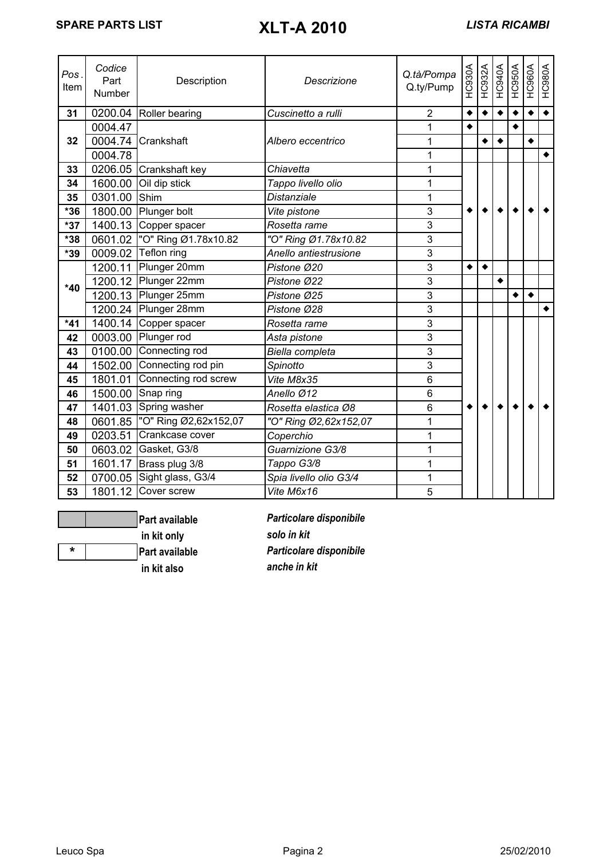| Pos<br>Item | Codice<br>Part<br>Number | Description                    | Descrizione            | Q.tà/Pompa<br>Q.ty/Pump | HC930A    | HC932A          | HC940A    | HC950A    | HC960A    | HC980A               |
|-------------|--------------------------|--------------------------------|------------------------|-------------------------|-----------|-----------------|-----------|-----------|-----------|----------------------|
| 31          |                          | 0200.04 Roller bearing         | Cuscinetto a rulli     | $\overline{2}$          | ٠         | $\blacklozenge$ | $\bullet$ |           | $\bullet$ | $\overline{\bullet}$ |
|             | 0004.47                  |                                |                        | 1                       | $\bullet$ |                 |           | $\bullet$ |           |                      |
| 32          |                          | 0004.74 Crankshaft             | Albero eccentrico      | 1                       |           | $\bullet$       | $\bullet$ |           | ٠         |                      |
|             | 0004.78                  |                                |                        | 1                       |           |                 |           |           |           | $\blacklozenge$      |
| 33          |                          | 0206.05 Crankshaft key         | Chiavetta              | 1                       |           |                 |           |           |           |                      |
| 34          |                          | 1600.00 Oil dip stick          | Tappo livello olio     | 1                       |           |                 |           |           |           |                      |
| 35          | 0301.00                  | Shim                           | Distanziale            | $\overline{1}$          |           |                 |           |           |           |                      |
| $*36$       |                          | 1800.00 Plunger bolt           | Vite pistone           | 3                       |           |                 |           |           |           |                      |
| $*37$       |                          | 1400.13 Copper spacer          | Rosetta rame           | 3                       |           |                 |           |           |           |                      |
| *38         |                          | 0601.02  "O" Ring Ø1.78x10.82  | "O" Ring Ø1.78x10.82   | $\overline{3}$          |           |                 |           |           |           |                      |
| *39         |                          | 0009.02 Teflon ring            | Anello antiestrusione  | 3                       |           |                 |           |           |           |                      |
|             |                          | 1200.11 Plunger 20mm           | Pistone Ø20            | 3                       | $\bullet$ | $\blacklozenge$ |           |           |           |                      |
| $*40$       |                          | 1200.12 Plunger 22mm           | Pistone Ø22            | 3                       |           |                 | ٠         |           |           |                      |
|             |                          | 1200.13 Plunger 25mm           | Pistone Ø25            | 3                       |           |                 |           | ٠         | ٠         |                      |
|             |                          | 1200.24 Plunger 28mm           | Pistone Ø28            | 3                       |           |                 |           |           |           | $\bullet$            |
| $*41$       |                          | 1400.14 Copper spacer          | Rosetta rame           | 3                       |           |                 |           |           |           |                      |
| 42          |                          | 0003.00 Plunger rod            | Asta pistone           | 3                       |           |                 |           |           |           |                      |
| 43          |                          | 0100.00 Connecting rod         | Biella completa        | 3                       |           |                 |           |           |           |                      |
| 44          |                          | 1502.00 Connecting rod pin     | Spinotto               | 3                       |           |                 |           |           |           |                      |
| 45          |                          | 1801.01 Connecting rod screw   | Vite M8x35             | 6                       |           |                 |           |           |           |                      |
| 46          |                          | 1500.00 Snap ring              | Anello Ø12             | 6                       |           |                 |           |           |           |                      |
| 47          |                          | 1401.03 Spring washer          | Rosetta elastica Ø8    | 6                       |           |                 |           |           |           |                      |
| 48          |                          | 0601.85  "O" Ring Ø2,62x152,07 | "O" Ring Ø2,62x152,07  | 1                       |           |                 |           |           |           |                      |
| 49          | 0203.51                  | Crankcase cover                | Coperchio              | 1                       |           |                 |           |           |           |                      |
| 50          |                          | 0603.02 Gasket, G3/8           | Guarnizione G3/8       | 1                       |           |                 |           |           |           |                      |
| 51          |                          | 1601.17 Brass plug 3/8         | Tappo G3/8             | 1                       |           |                 |           |           |           |                      |
| 52          |                          | 0700.05 Sight glass, G3/4      | Spia livello olio G3/4 | 1                       |           |                 |           |           |           |                      |
| 53          |                          | 1801.12 Cover screw            | Vite M6x16             | 5                       |           |                 |           |           |           |                      |



 **in kit only** *solo in kit*  **in kit also** *anche in kit*

**Part available** *Particolare disponibile*  **\* Part available** *Particolare disponibile*